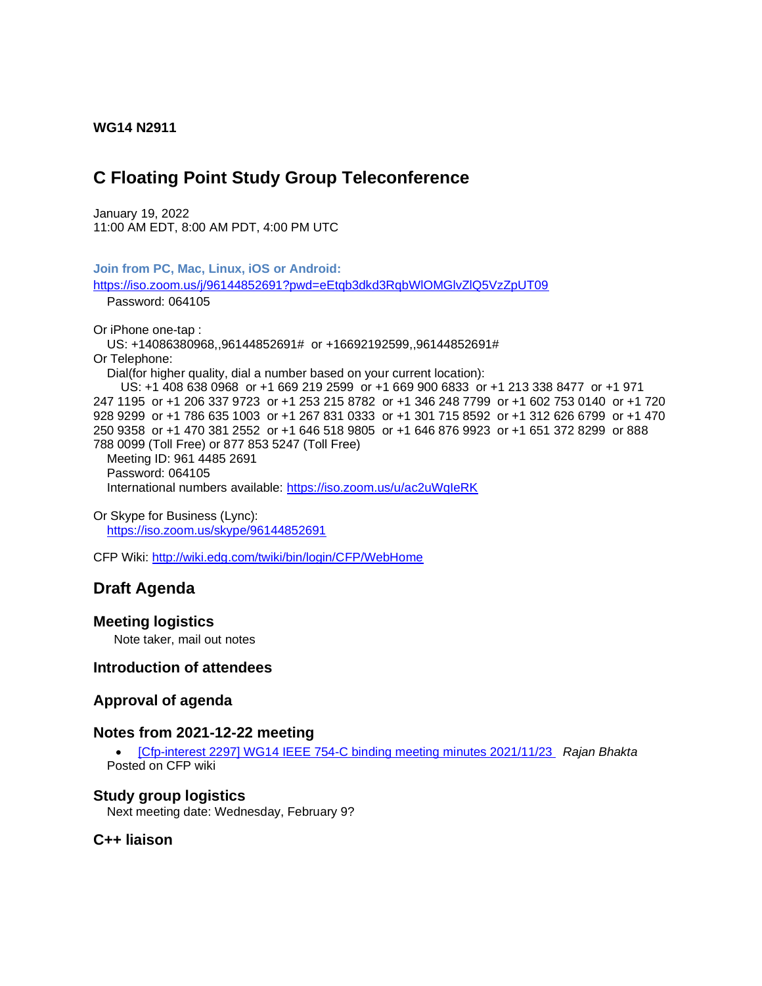#### **WG14 N2911**

# **C Floating Point Study Group Teleconference**

January 19, 2022 11:00 AM EDT, 8:00 AM PDT, 4:00 PM UTC

**Join from PC, Mac, Linux, iOS or Android:** <https://iso.zoom.us/j/96144852691?pwd=eEtqb3dkd3RqbWlOMGlvZlQ5VzZpUT09> Password: 064105 Or iPhone one-tap : US: +14086380968,,96144852691# or +16692192599,,96144852691# Or Telephone: Dial(for higher quality, dial a number based on your current location): US: +1 408 638 0968 or +1 669 219 2599 or +1 669 900 6833 or +1 213 338 8477 or +1 971 247 1195 or +1 206 337 9723 or +1 253 215 8782 or +1 346 248 7799 or +1 602 753 0140 or +1 720 928 9299 or +1 786 635 1003 or +1 267 831 0333 or +1 301 715 8592 or +1 312 626 6799 or +1 470 250 9358 or +1 470 381 2552 or +1 646 518 9805 or +1 646 876 9923 or +1 651 372 8299 or 888 788 0099 (Toll Free) or 877 853 5247 (Toll Free) Meeting ID: 961 4485 2691 Password: 064105 International numbers available:<https://iso.zoom.us/u/ac2uWqIeRK>

Or Skype for Business (Lync): <https://iso.zoom.us/skype/96144852691>

CFP Wiki:<http://wiki.edg.com/twiki/bin/login/CFP/WebHome>

# **Draft Agenda**

### **Meeting logistics**

Note taker, mail out notes

## **Introduction of attendees**

### **Approval of agenda**

### **Notes from 2021-12-22 meeting**

• [\[Cfp-interest 2297\] WG14 IEEE 754-C binding meeting minutes 2021/11/23](http://mailman.oakapple.net/pipermail/cfp-interest/2021-November/002311.html) *Rajan Bhakta* Posted on CFP wiki

#### **Study group logistics**

Next meeting date: Wednesday, February 9?

## **C++ liaison**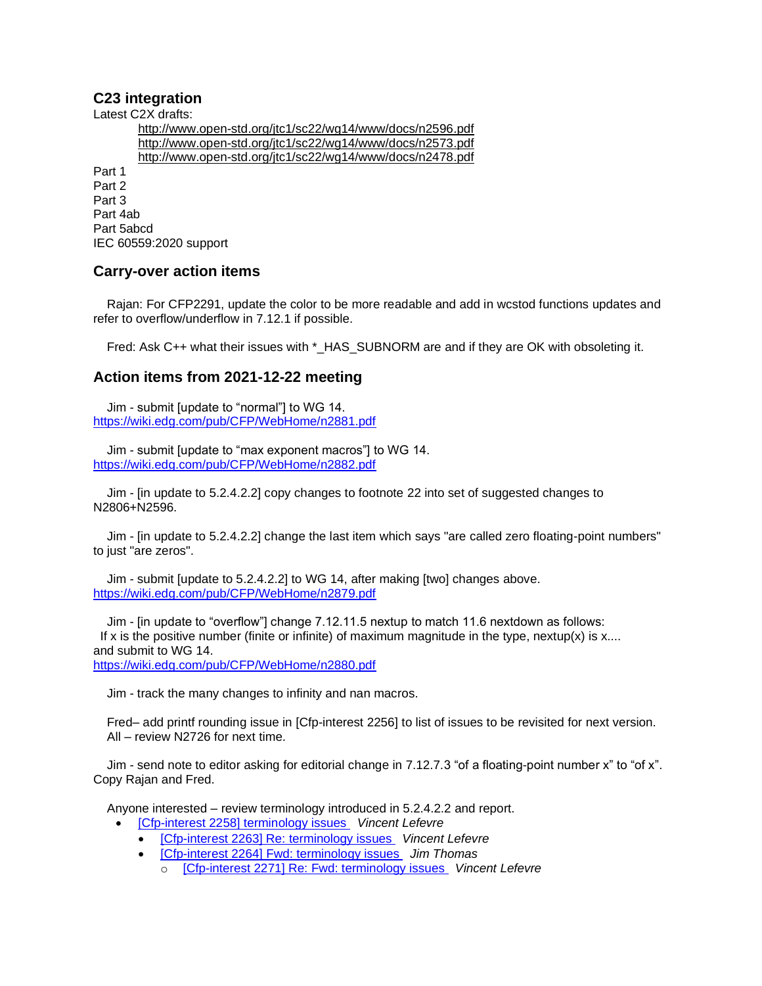# **C23 integration**

Latest C2X drafts:

<http://www.open-std.org/jtc1/sc22/wg14/www/docs/n2596.pdf> <http://www.open-std.org/jtc1/sc22/wg14/www/docs/n2573.pdf> <http://www.open-std.org/jtc1/sc22/wg14/www/docs/n2478.pdf>

Part 1 Part 2 Part 3 Part 4ab Part 5abcd IEC 60559:2020 support

# **Carry-over action items**

Rajan: For CFP2291, update the color to be more readable and add in wcstod functions updates and refer to overflow/underflow in 7.12.1 if possible.

Fred: Ask C++ what their issues with \* HAS SUBNORM are and if they are OK with obsoleting it.

# **Action items from 2021-12-22 meeting**

Jim - submit [update to "normal"] to WG 14. <https://wiki.edg.com/pub/CFP/WebHome/n2881.pdf>

Jim - submit [update to "max exponent macros"] to WG 14. <https://wiki.edg.com/pub/CFP/WebHome/n2882.pdf>

Jim - [in update to 5.2.4.2.2] copy changes to footnote 22 into set of suggested changes to N2806+N2596.

Jim - [in update to 5.2.4.2.2] change the last item which says "are called zero floating-point numbers" to just "are zeros".

Jim - submit [update to 5.2.4.2.2] to WG 14, after making [two] changes above. <https://wiki.edg.com/pub/CFP/WebHome/n2879.pdf>

Jim - [in update to "overflow"] change 7.12.11.5 nextup to match 11.6 nextdown as follows: If x is the positive number (finite or infinite) of maximum magnitude in the type, nextup(x) is  $x$ .... and submit to WG 14. <https://wiki.edg.com/pub/CFP/WebHome/n2880.pdf>

Jim - track the many changes to infinity and nan macros.

 Fred– add printf rounding issue in [Cfp-interest 2256] to list of issues to be revisited for next version. All – review N2726 for next time.

 Jim - send note to editor asking for editorial change in 7.12.7.3 "of a floating-point number x" to "of x". Copy Rajan and Fred.

Anyone interested – review terminology introduced in 5.2.4.2.2 and report.

- [\[Cfp-interest 2258\] terminology issues](https://mailman.oakapple.net/pipermail/cfp-interest/2021-November/002272.html) *Vincent Lefevre*
	- [\[Cfp-interest 2263\] Re: terminology issues](https://mailman.oakapple.net/pipermail/cfp-interest/2021-November/002277.html) *Vincent Lefevre*
	- [\[Cfp-interest 2264\] Fwd: terminology issues](https://mailman.oakapple.net/pipermail/cfp-interest/2021-November/002278.html) *Jim Thomas*
		- o [\[Cfp-interest 2271\] Re: Fwd: terminology issues](http://mailman.oakapple.net/pipermail/cfp-interest/2021-November/002285.html) *Vincent Lefevre*